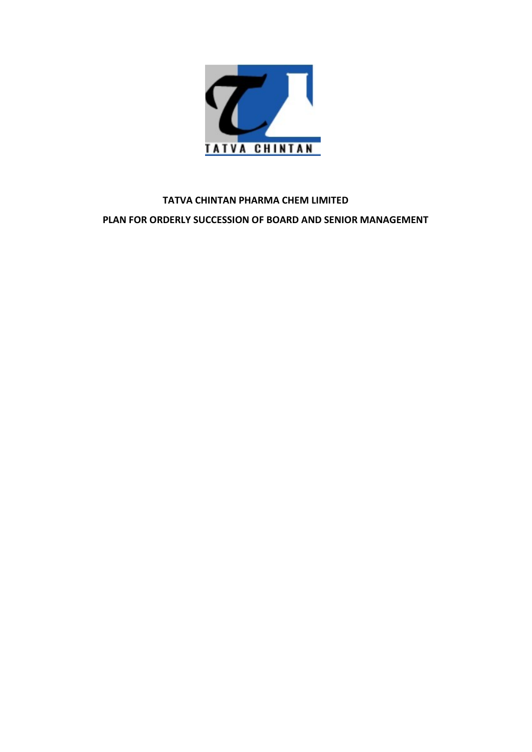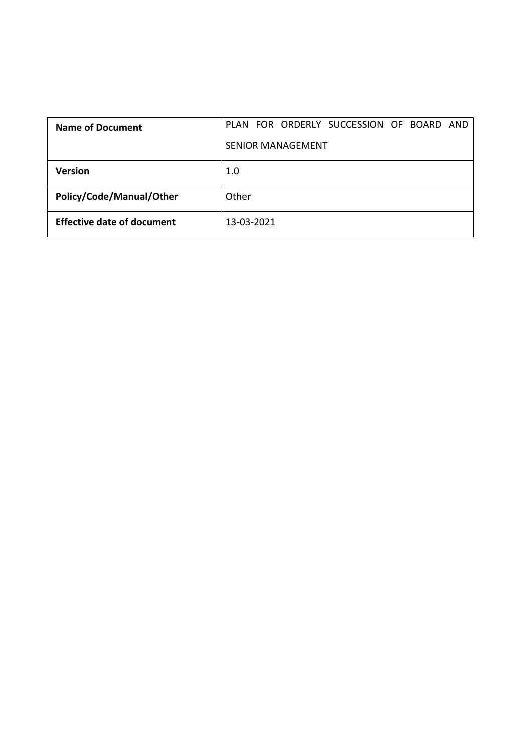| <b>Name of Document</b>           | PLAN FOR ORDERLY SUCCESSION OF BOARD AND |
|-----------------------------------|------------------------------------------|
|                                   | SENIOR MANAGEMENT                        |
| Version                           | 1.0                                      |
| Policy/Code/Manual/Other          | Other                                    |
| <b>Effective date of document</b> | 13-03-2021                               |
|                                   |                                          |
|                                   |                                          |
|                                   |                                          |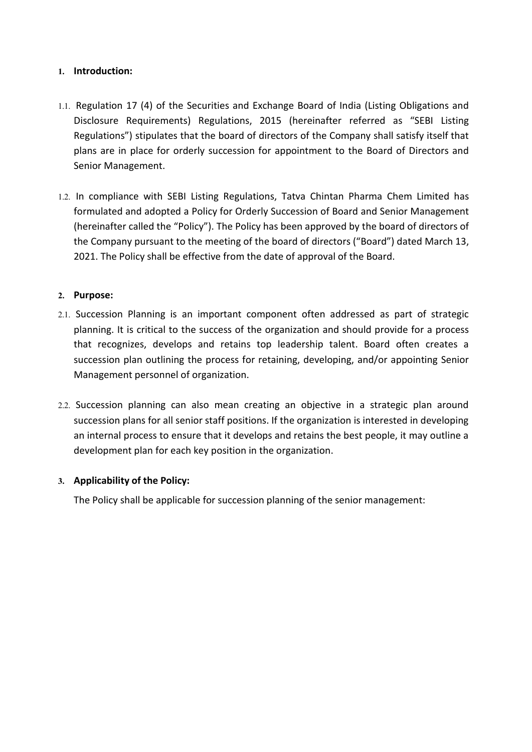# 1. Introduction:

- 1. Introduction:<br>
1.1. Regulation 17 (4) of the Securities and Exchange Board of India (Listing Obligations and<br>
Disclosure Requirements) Regulations, 2015 (hereinafter referred as "SEBI Listing<br>
Regulations") stipulates t Introduction:<br>Regulation 17 (4) of the Securities and Exchange Board of India (Listing Obligations and<br>Disclosure Requirements) Regulations, 2015 (hereinafter referred as "SEBI Listing<br>Regulations") stipulates that the boa Introduction:<br>
Regulation 17 (4) of the Securities and Exchange Board of India (Listing Obligations and<br>
Disclosure Requirements) Regulations, 2015 (hereinafter referred as "SEBI Listing<br>
Regulations") stipulates that the Introduction:<br>
Regulation 17 (4) of the Securities and Exchange Board of India (Listing Obligations and<br>
Disclosure Requirements) Regulations, 2015 (hereinafter referred as "SEBI Listing<br>
Regulations") stipulates that the Introduction:<br>
Regulation 17 (4) of the Securities and Exchange Board of India (Listing<br>
Disclosure Requirements) Regulations, 2015 (hereinafter referred a<br>
Regulations") stipulates that the board of directors of the Compa
- 1. Introduction:<br>
1.1. Regulation 17 (4) of the Securities and Exchange Board of India (Listing Obligations and<br>
1.1. Regulations") stipulates that the board of directors of the Company shall satisfy itself that<br>
plans are **Introduction:**<br>Regulation 17 (4) of the Securities and Exchange Board of India (Listing Obligations and<br>Disclosure Requirements) Regulations, 2015 (hereinafter referred as "SEBI Listing<br>Regulations") stipulates that the b **Introduction:**<br>
Regulation 17 (4) of the Securities and Exchange Board of India (Listing Obligations and Disclosure Requirements) Regulations, 2015 (hereinafter referred as "SEBI Listing<br>
Regulations") stipulates that the Introduction:<br>Regulation 17 (4) of the Securities and Exchange Board of India (Listing Obligations and<br>Disclosure Requirements) Regulations, 2015 (hereinafter referred as "SEBI Listing<br>Regulations") stipulates that the boa Introduction:<br>
Regulation 17 (4) of the Securities and Exchange Board of India (Listing Obligations and<br>
Disclosure Requirements) Regulations, 2015 (hereinafter referred as "SEBI Listing<br>
Regulations") stipulates that the 1.1. Regulation 17 (4) of the Securities and Exchange Board of India (Listing Obligations and<br>Disclosure Requirements) Regulations, 2015 (hereinafter referred as "SEBI Listing<br>Regulations") stipulates that the board of dir Neguation 17 (4) or the securities and excenting board or final (using Unigations) and the bard degred as "SEBI Listing Regulations") stipulates that the board of directors of the Company shall satisfy itself that plans ar Discoloure Requirements) Regulations, 2015 (neterinater reference as Sets Ussing<br>Regulations") stipulates that the board of directors of the Company shall satisfy itself that<br>plans are in place for orderly succession for a reguations is suppresses trank the board of directors or the company shall satisfy itself that<br>plans are in place for orderly succession for appointment to the Board of Directors and<br>Senior Management.<br>In compliance with S plans are in piace for orderly succession for appointment to the board or Directors and<br>Senior Management.<br>In compliance with SEBI Listing Regulations, Tatva Chintan Pharma Chem Limited has<br>formulated and adopted a Policy 1.2. In compliance with SEBI Listing Regulations, Tatva Chintan Pharma Chem Limited has<br>formulated and adopted a Policy'). The Policy has been approved by the board of directors of<br>the Company pursuant to the meeting of th

## 2. Purpose:

- In computate with a sent using regulations, rative Comical metral metral metral metral metral metral metral metral<br>formulated and adopted a Policy"). The Policy backets on of Board and Senior Management<br>(hereinafter called normulated and adopted a Policy To Criteriny Succession of each and a sentor wanagement<br>(hereinafter called the "Policy"). The Policy has been approved by the board of directors of<br>the Company pursuant to the meeting of th (nelemation tracted the Poulcy). The Polity has been approved by the board of directors of the Company pursuant to the meeting of the board of directors ("Board") dated March 13, 2021. The Policy shall be effective from th 2021. The Policy shall be ellective from the date of approval of the Board.<br>
2. **Purpose:**<br>
2. Succession Planning is an important component often addressed as part of strate<br>
planning. It is critical to the success of the **Purpose:**<br>Succession Planning is an important component often addressed as part of strategic<br>planning. It is critical to the success of the organization and should provide for a process<br>that recognizes, develops and retai
-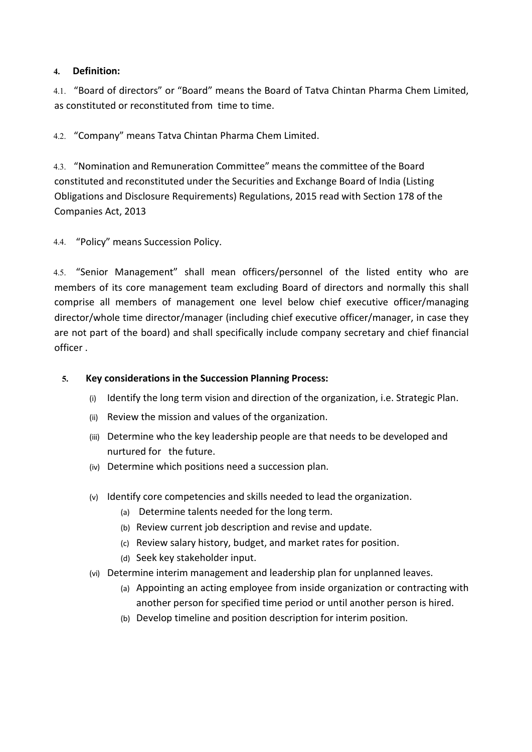# 4. Definition:

4.1. "Board of directors" or "Board" means the Board of Tatva Chintan Pharma Chem Limited,<br>4.1. "Board of directors" or "Board" means the Board of Tatva Chintan Pharma Chem Limited,<br>4.2. "Company" means Tatva Chintan Pharm **4. Definition:**<br>4.1. "Board of directors" or "Board" means the Board of Tatva Chintan Pharma Chem Limited,<br>as constituted or reconstituted from time to time.<br>4.2. "Company" means Tatva Chintan Pharma Chem Limited.<br>4.3. "N

**4. Definition:**<br>4.1. "Board of directors" or "Board" means the Board of Tatva Chintan Pharma Chem Limited,<br>as constituted or reconstituted from time to time.<br>4.2. "Company" means Tatva Chintan Pharma Chem Limited.<br>4.3. "N 4. Definition:<br>4.1. "Board of directors" or "Board" means the Board of Tatva Chintan Pharma Chem Limited,<br>as constituted or reconstituted from time to time.<br>4.2. "Company" means Tatva Chintan Pharma Chem Limited.<br>4.3. "Nom **4. Definition:**<br>4.1. "Board of directors" or "Board" means the Board of Tatva Chintan Pharma Chem Limited,<br>as constituted or reconstituted from time to time.<br>4.2. "Company" means Tatva Chintan Pharma Chem Limited.<br>4.3. "N **4. Definition:**<br> **4.1. "Board of directors" or "Board" means the Board of Tatva Chintan Pharma Chem Limited,**<br> **4.2. "Company" means Tatva Chintan Pharma Chem Limited.**<br> **4.3. "Nomination and Remuneration Committee" means 1. Definition:**<br> **4.1. "Board of directors" or "Board" means the Board of Tatva Chintan Pharma Ch<br>
<b>4.2. "Company" means Tatva Chintan Pharma Chem Limited.**<br> **4.3. "Nomination and Remuneration Committee" means the commi 4.** Definition:<br>
4.1. "Board of directors" or "Board" means the Board of Tatva Chintan Pharma Chem Limited,<br>
4.2. "Company" means Tatva Chintan Pharma Chem Limited.<br>
4.2. "Nomination and Remuneration Committee" means the

4. **Definition:**<br>4.1. "Board of directors" or "Board" means the Board of Tatva Chintan Pharma Chem Limited,<br>as constituted or reconstituted from time to time.<br>4.2. "Company" means Tatva Chintan Pharma Chem Limited.<br>4.3. "N **4. Definition:**<br>
4.1. "Board of directors" or "Board" means the Board of Tatva Chintan Pharma Chem Limited,<br>
4.3. "Company" means Tatva Chintan Pharma Chem Limited.<br>
4.3. "Nomination and Remuneration Committee" means the 4.1. "Board of directors" or "Board" means the Board of Tatva Chintan Pharma Chem Limited,<br>as constituted or reconstituted from time to time.<br>4.2. "Company" means Tatva Chintan Pharma Chem Limited.<br>4.3. "Nomination and Rem not a constituted or reconstituted from time to time.<br>
as constituted or reconstituted from time to time.<br>
4.2. "Company" means Tatva Chintan Pharma Chem Limited.<br>
4.3. "Nomination and Remuneration Committee" means the com 42. "Company" means Tatva Chintan Pharma Chem Limited.<br>43. "Nomination and Remuneration Committee" means the committee of the Board<br>constituted and reconstituted under the Securities and Exchange Board of India (Listing<br>Ob 4.2. "Company" means Tatva Chintan Pharma Chem Limited.<br>
4.3. "Nomination and Remuneration Committee" means the committee of<br>
constituted and reconstituted under the Securities and Exchange Board of<br>
Obligations and Disclo 8. "Nomination and Remuneration Committee" means the committee of the Board<br>
5. "Nomination and reconstituted under the Securities and Exchange Board of India (Listing<br>
bligations and Disclosure Requirements) Regulations, ted and reconstituted under the Securities and Exchange Board of India (Listing<br>ons and Disclosure Requirements) Regulations, 2015 read with Section 178 of the<br>ies Act, 2013<br>Jilcy" means Succession Policy.<br><br>mior Management ons and Disclosure Requirements) Regulations, 2015 read with Section 178 of the<br>ies Act, 2013<br>blicy" means Succession Policy.<br>mior Management" shall mean officers/personnel of the listed entity who are<br>rs of its core manag (icy" means Succession Policy.<br>
Inior Management" shall mean officers/personnel of the listed entity who are<br>
is of its core management team excluding Board of directors and normally this shall<br>
all members of management o " means Succession Policy.<br>
" Management" shall mean officers/personnel of the listed entity who are<br>
its core management team excluding Board of directors and normally this shall<br>
I members of management one level below c The minimum of means succession Policy.<br>
Interior Management" shall mean officers/personnel of the listed entity who are<br>
so f its core management neam excluding Board of directors and normally this shall<br>
a lall members o (v) Interlation Wallia The time transferrent in State entity Windom Correlation Intervention Water (and the members of management can level below chief executive officer/managing (whole time director/manager (including chi Core inalgement team extuating board of turections and notinating this strain<br>the director/manager (including chief executive officer/manager, in case they<br>the board) and shall specifically include company secretary and ch Elimous of Intentigment once level below the executive officer/intentigment<br>
time director/manager (including chief executive officer/manager, in case they<br>
the board) and shall specifically include company secretary and c the board) and shall specifically include company secretary and chief financial<br>siderations in the Succession Planning Process:<br>siderations in the Succession Planning Process:<br>thify the long term vision and direction of th

- 
- 
- (vi) Identify the long term vision and direction of the organization, i.e. Strategic Plan.<br>
(ii) Identify the long term vision and direction of the organization.<br>
(iii) Betermine who the key leadership people are that need
- 
- -
	-
	-
	-
- 
- (d) Seek key stakeholder input.<br>
(d) Seek key stateholder in the periodic of the organization, i.e. Strategic Plan.<br>
(d) the mission and values of the organization.<br>
Etermine who the key leadership people are that needs to siderations in the Succession Planning Process:<br>
ntify the long term vision and direction of the organization, i.e. Strategic Plan.<br>
view the mission and values of the organization.<br>
the with the kyle leadership people are andons in the succession rlamining Process:<br>
y the long term vision and direction of the organization, i.e. Strategic Plan.<br>
the mission and values of the organization.<br>
mine which positions need a succession plan.<br>
y core ntify the long term vision and direction of the organization, i.e. Strategic Plan.<br>view the mission and values of the organization.<br>termine who the key leadership people are that needs to be developed and<br>tured for the fut
	-